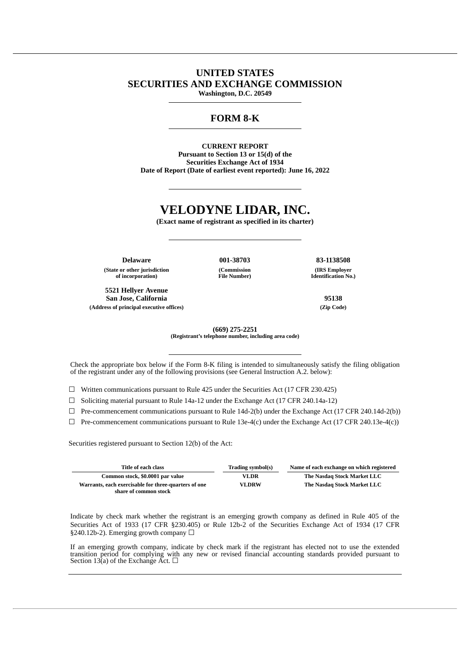## **UNITED STATES SECURITIES AND EXCHANGE COMMISSION Washington, D.C. 20549**

# **FORM 8-K**

**CURRENT REPORT Pursuant to Section 13 or 15(d) of the Securities Exchange Act of 1934 Date of Report (Date of earliest event reported): June 16, 2022**

# **VELODYNE LIDAR, INC.**

**(Exact name of registrant as specified in its charter)**

**Delaware 001-38703 83-1138508 (State or other jurisdiction of incorporation)**

**5521 Hellyer Avenue San Jose, California 95138 (Address of principal executive offices) (Zip Code)**

**(Commission File Number)** **(IRS Employer**

**Identification No.)**

**(669) 275-2251 (Registrant's telephone number, including area code)**

Check the appropriate box below if the Form 8-K filing is intended to simultaneously satisfy the filing obligation of the registrant under any of the following provisions (see General Instruction A.2. below):

 $\Box$  Written communications pursuant to Rule 425 under the Securities Act (17 CFR 230.425)

 $\Box$  Soliciting material pursuant to Rule 14a-12 under the Exchange Act (17 CFR 240.14a-12)

 $\Box$  Pre-commencement communications pursuant to Rule 14d-2(b) under the Exchange Act (17 CFR 240.14d-2(b))

 $\Box$  Pre-commencement communications pursuant to Rule 13e-4(c) under the Exchange Act (17 CFR 240.13e-4(c))

Securities registered pursuant to Section 12(b) of the Act:

| Title of each class                                                           | Trading symbol(s) | Name of each exchange on which registered |
|-------------------------------------------------------------------------------|-------------------|-------------------------------------------|
| Common stock, \$0.0001 par value                                              | VLDR.             | The Nasdag Stock Market LLC               |
| Warrants, each exercisable for three-quarters of one<br>share of common stock | VLDRW             | The Nasdag Stock Market LLC               |

Indicate by check mark whether the registrant is an emerging growth company as defined in Rule 405 of the Securities Act of 1933 (17 CFR §230.405) or Rule 12b-2 of the Securities Exchange Act of 1934 (17 CFR §240.12b-2). Emerging growth company □

If an emerging growth company, indicate by check mark if the registrant has elected not to use the extended transition period for complying with any new or revised financial accounting standards provided pursuant to Section 13(a) of the Exchange Act.  $\Box$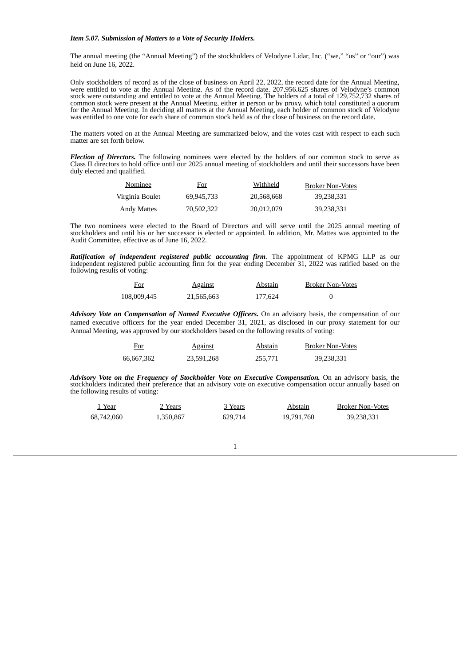#### *Item 5.07. Submission of Matters to a Vote of Security Holders.*

The annual meeting (the "Annual Meeting") of the stockholders of Velodyne Lidar, Inc. ("we," "us" or "our") was held on June 16, 2022.

Only stockholders of record as of the close of business on April 22, 2022, the record date for the Annual Meeting, were entitled to vote at the Annual Meeting. As of the record date, 207,956,625 shares of Velodyne's common stock were outstanding and entitled to vote at the Annual Meeting. The holders of a total of 129,752,732 shares of common stock were present at the Annual Meeting, either in person or by proxy, which total constituted a quorum for the Annual Meeting. In deciding all matters at the Annual Meeting, each holder of common stock of Velodyne was entitled to one vote for each share of common stock held as of the close of business on the record date.

The matters voted on at the Annual Meeting are summarized below, and the votes cast with respect to each such matter are set forth below.

*Election of Directors.* The following nominees were elected by the holders of our common stock to serve as Class II directors to hold office until our 2025 annual meeting of stockholders and until their successors have been duly elected and qualified.

| Nominee            | <u>For</u> | Withheld   | <b>Broker Non-Votes</b> |
|--------------------|------------|------------|-------------------------|
| Virginia Boulet    | 69.945.733 | 20,568,668 | 39,238,331              |
| <b>Andy Mattes</b> | 70,502,322 | 20,012,079 | 39,238,331              |

The two nominees were elected to the Board of Directors and will serve until the 2025 annual meeting of stockholders and until his or her successor is elected or appointed. In addition, Mr. Mattes was appointed to the Audit Committee, effective as of June 16, 2022.

*Ratification of independent registered public accounting firm.* The appointment of KPMG LLP as our independent registered public accounting firm for the year ending December 31, 2022 was ratified based on the following results of voting:

| <u>For</u>  | <b>Against</b> | Abstain | <b>Broker Non-Votes</b> |
|-------------|----------------|---------|-------------------------|
| 108,009,445 | 21,565,663     | 177.624 |                         |

*Advisory Vote on Compensation of Named Executive Officers.* On an advisory basis, the compensation of our named executive officers for the year ended December 31, 2021, as disclosed in our proxy statement for our Annual Meeting, was approved by our stockholders based on the following results of voting:

| For<br>___ | <b>Against</b> | Abstain | <b>Broker Non-Votes</b> |
|------------|----------------|---------|-------------------------|
| 66,667,362 | 23.591.268     | 255,771 | 39,238,331              |

*Advisory Vote on the Frequency of Stockholder Vote on Executive Compensation.* On an advisory basis, the stockholders indicated their preference that an advisory vote on executive compensation occur annually based on the following results of voting:

| Year       | 2 Years   | 3 Years | Abstain    | <b>Broker Non-Votes</b> |
|------------|-----------|---------|------------|-------------------------|
| 68,742,060 | 1,350,867 | 629.714 | 19,791,760 | 39,238,331              |

1